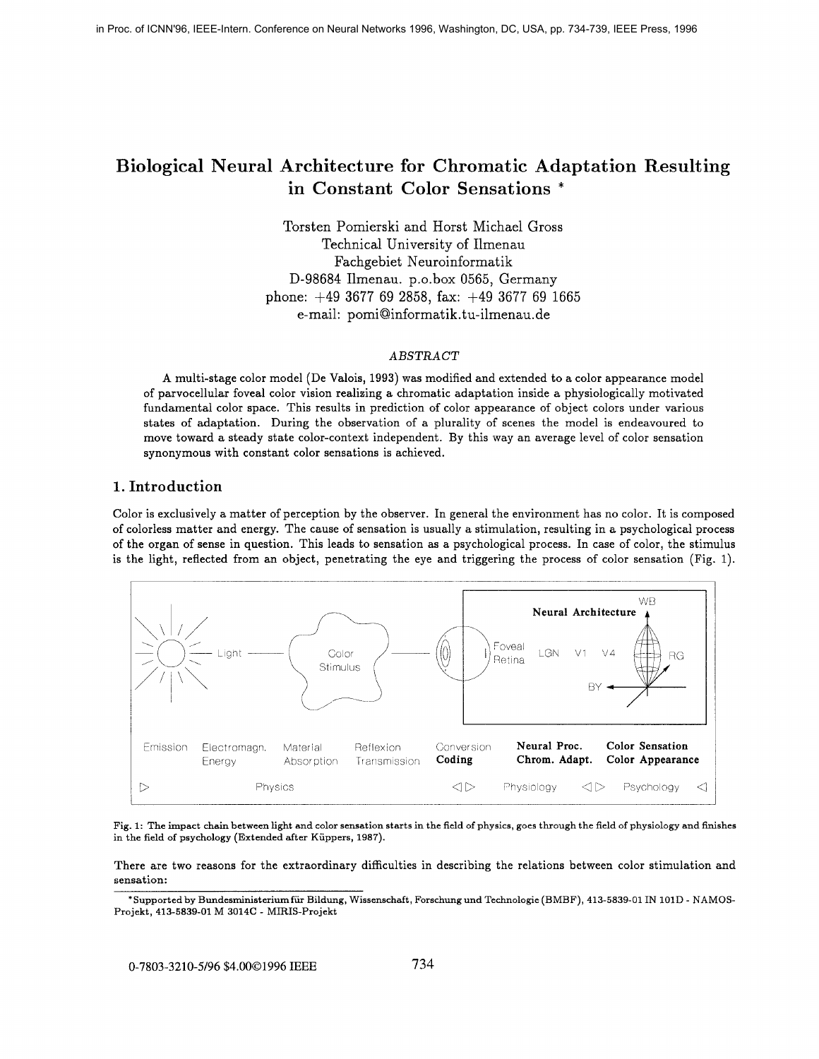# **Biological Neural Architecture for Chromatic Adaptation Resulting in Constant Color Sensations** \*

Torsten Pomierski and Horst Michael Gross Technical University of Ilmenau Fachgebiet Neuroinformatik D-98684 Ilmenau. p.o.box 0565, Germany phone:  $+49$  3677 69 2858, fax:  $+49$  3677 69 1665 e-mail: pomi@informatik.tu-ilmenau.de

### *ABSTRACT*

**A** multi-stage color model (De Valois, **1993)** was modified and extended to a color appearance model of parvocellular foveal color vision realizing a chromatic adaptation inside a physiologically motivated fundamental color space. This results in prediction of color appearance of object colors under various states of adaptation. During the observation of a plurality of scenes the model is endeavoured to move toward a steady state color-context independent. By this way an average level of color sensation synonymous with constant color sensations is achieved.

# **1. Introduction**

Color is exclusively a matter of perception by the observer. In general the environment has no color. It is composed of colorless matter and energy. The cause of sensation is usually a stimulation, resulting in a psychological process of the organ of sense in question. This leads to sensation as a psychological process. In case of color, the stimulus is the light, reflected from an object, penetrating the eye and triggering the process of color sensation (Fig. 1).



Fig. **1: The impact chain between light and color sensation starts in the field of physics, goes through the field of physiology and finishes in the field of psychology (Extended after Kiippers, 1987).** 

There are two reasons for the extraordinary difficulties in describing the relations between color stimulation and **sensation:** 

**<sup>\*</sup>Supported by Bundesministeriumfiir Bildung, Wissenschaft, Forschung und Technologie (BMBF), 413-5839-01 IN lOlD** - **NAMOS-Projekt, 413-5839-01 M 3014C** - **MIRIS-Projekt**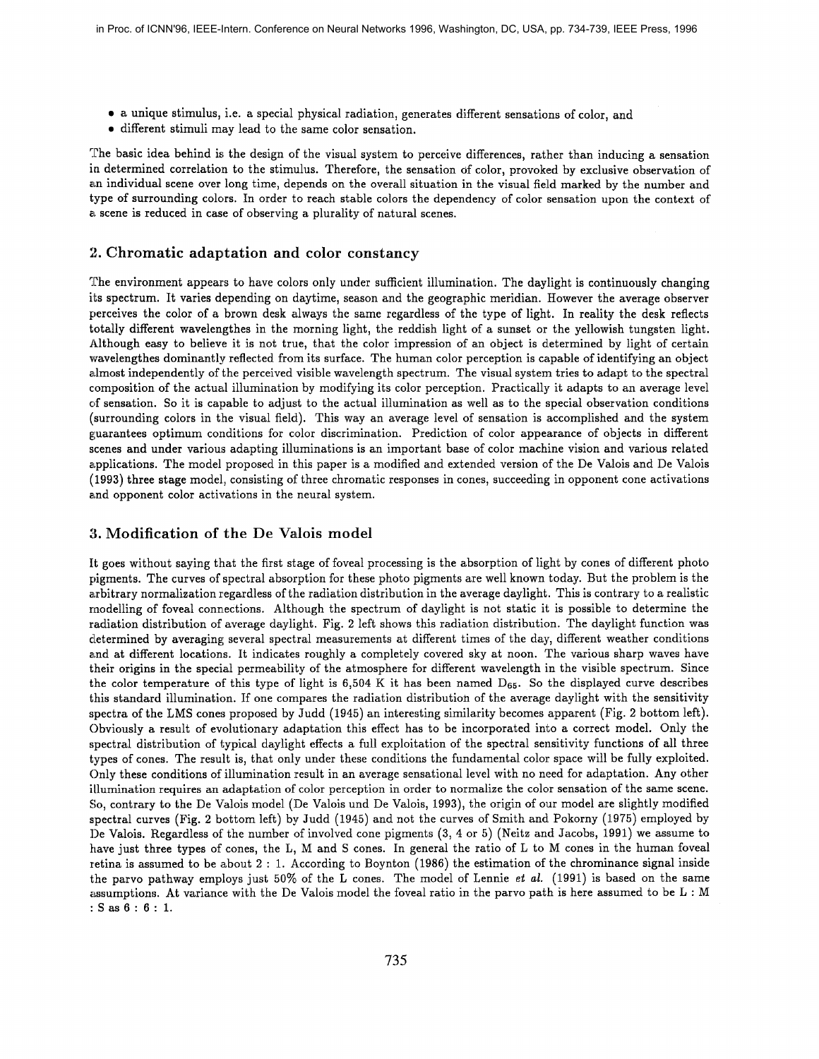- a unique stimulus, i.e. a special physical radiation, generates different sensations of color, and
- *0* different stimuli may lead to the same color sensation.

The basic idea behind is the design of the visual system to perceive differences, rather than inducing a sensation in determined correlation to the stimulus. Therefore, the sensation of color, provoked by exclusive observation of am individual scene over long time, depends on the overall situation in the visual field marked by the number and type of surrounding colors. In order to reach stable colors the dependency of color sensation upon the context of a scene is reduced in case of observing a plurality of natural scenes.

#### **2. Chromatic adapltation and color constancy**

The environment appears to have colors only under sufficient illumination. The daylight is continuously changing its spectrum. It varies depending on daytime, season and the geographic meridian. However the average observer perceives the color of a brown desk always the same regardless of the type of light. In reality the desk reflects totally different wavelengthes in the morning light, the reddish light of a sunset or the yellowish tungsten light. Although easy to believe it is not true, that the color impression of an object is determined by light of certain wavelengthes dominantly reflected from its surface. The human color perception is capable of identifying an object almost independently of the perceived visible wavelength spectrum. The visual system tries to adapt to the spectral composition of the actual illumination by modifying its color perception. Practically it adapts to an average level of sensation. So it is capable to adjust to the actual illumination as well as to the special observation conditions (surrounding colors in the visual field). This way an average level of sensation is accomplished and the system guarantees optimum conditions for color discrimination. Prediction of color appearance of objects in different scenes and under various adapting illuminations is an important base of color machine vision and various related applications. The model proposed in this paper is a modified and extended version of the De Valois and De Valois (1993) three stage model, consisting *OS* three chromatic responses in cones, succeeding in opponent cone activations and opponent color activations in the neural system.

### **3. Modification of the De Vailois model**

It goes without saying that the first stage of foveal processing is the absorption of light by cones of different photo pigments. The curves of spectral absorption for these photo pigments are well known today. But the problem is the axbitrary normalization regardless of the radiation distribution in the average daylight. This is contrary to a realistic rnodelling of foveal connections. Although the spectrum of daylight is not static it is possible to determine the radiation distribution of average daylight. Fig. **2** left shows this radiation distribution. The daylight function was cletermined by averaging several spectral measurements at different times of the day, different weather conditions and at different locations. It indicates roughly a completely covered sky at noon. The various sharp waves have their origins in the special permeability of the atmosphere for different wavelength in the visible spectrum. Since the color temperature of this type of light is 6,504 K it has been named  $D_{65}$ . So the displayed curve describes this standard illumination. If one compares the radiation distributioh of the average daylight with the sensitivity spectra of the LMS cones proposed by Judd (1945) an interesting similarity becomes apparent (Fig. **2** bottom left). Obviously a result of evolutionary adaptation this effect has to be incorporated into a correct model. Only the spectral distribution of bypical daylight effects a full exploitation of the spectral sensitivity functions of all three types of cones. The result is, that only under these conditions the fundamental color space will be fully exploited. Only these conditions of illumination result in an average sensational level with no need for adaptation. Any other illumination requires an adaptation of color perception in order to normalize the color sensation of the same scene. So, contrary to the De Valois model (De Valois und De Valois, 1993), the origin of our model are slightly modified spectral curves (Fig. **2** bottom left) by Judd (1945) and not the curves of Smith and, Pokorny (1975) employed by De Valois. Regardless of the number of involved cone pigments (3, 4 or 5) (Neitz and Jacobs, 1991) we assume to have just three types of cones, the L, M and S cones. In general the ratio of L to M cones in the human foveal retina is assumed to be about **2** : 1. According to Boynton (1986) the estimation of the chrominance signal inside the parvo pathway employs just 50% of the L cones. The model of Lennie et *al.* (1991) is based on the same assumptions. At variance with the De Valois model the foveal ratio in the parvo path is here assumed to be L : <sup>M</sup> :Sas6:6: 1.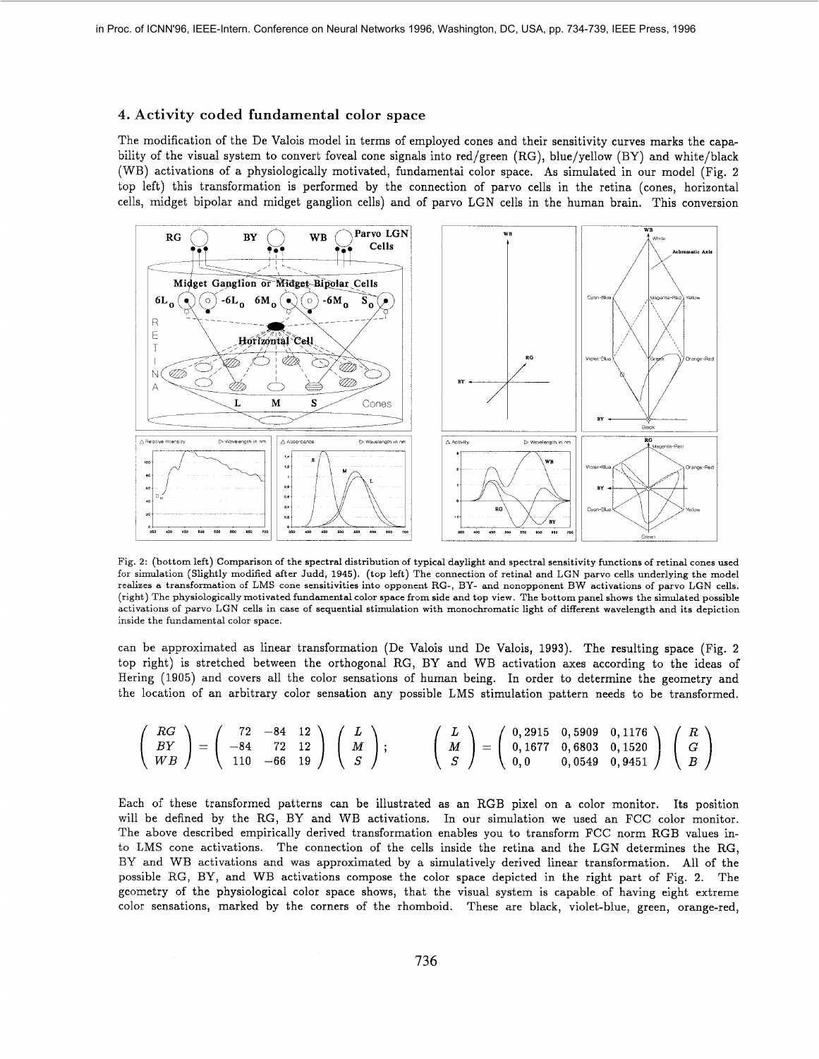## **4.** Activity coded fundamental color space

The modification of the De Valois model in terms of employed cones and their sensitivity curves marks the capability of the visual system to convert foveal cone signals into red/green (RG), blue/yellow (BY) and white/black (WB) activations of a physiologically motivated, fundamentai color space. **As** simulated in our model (Fig. 2 top left) this transformation is performed by the connection of parvo cells in the retina (cones, horizontal cells, midget bipolar and midget ganglion cells) and of parvo LGN cells in the human brain. This conversion



Fig. 2: (bottom left) Comparison of the spectral distribution of typical daylight and spectral sensitivity functions of retinal cones used for simulation (Slightly modified after Judd, 1945). (top left) The connection of retinal and LGN parvo cells underlying the model realizes a transformation of LMS cone sensitivities into opponent RG-, BY- and nonopponent BW activations of parvo LGN cells. (right) The physiologically motivated fundamental color space from side and top view. The bottom panel shows the simulated possible activations of parvo LGN cells in case of sequential stimulation with monochromatic light of different wavelength and its depiction inside the fundamental color space.

can be approximated as linear transformation (De Valois und De Valois, 1993). The resulting space (Fig. 2 top right) is stretched between the orthogonal RG, BY and WB activation axes according to the ideas of Hering (1905) and covers all the color sensations of human being. In order to determine the geometry and the location of an arbitrary color sensation any possible LMS stimulation pattern needs to be transformed.

$$
\left(\begin{array}{c} RG \\ BY \\ WB \end{array}\right) = \left(\begin{array}{ccc} 72 & -84 & 12 \\ -84 & 72 & 12 \\ 110 & -66 & 19 \end{array}\right) \left(\begin{array}{c} L \\ M \\ S \end{array}\right); \qquad \left(\begin{array}{c} L \\ M \\ S \end{array}\right) = \left(\begin{array}{ccc} 0,2915 & 0,5909 & 0,1176 \\ 0,1677 & 0,6803 & 0,1520 \\ 0,0 & 0,0549 & 0,9451 \end{array}\right) \left(\begin{array}{c} R \\ G \\ B \end{array}\right)
$$

Each of these transformed patterns can be illustrated as an RGB pixel on a color monitor. Its position will be defined by the RG, BY and WB activations. In our simulation we used an FCC color monitor. The above described empirically derived transformation enables you to transform FCC norm RGB values in*to* LMS cone activations. The connection of the cells inside the retina and the LGN determines the RG, BY and WB activations and was approximated by a simulatively derived linear transformation. All of the possible RG, BY, and WB activations compose the color space depicted in the right part of Fig. *2.* The geometry of the physiological color space shows, that the visual system is capable of having eight extreme color sensations, marked by the corners of the rhomboid. These are black, violet-blue, green, orange-red,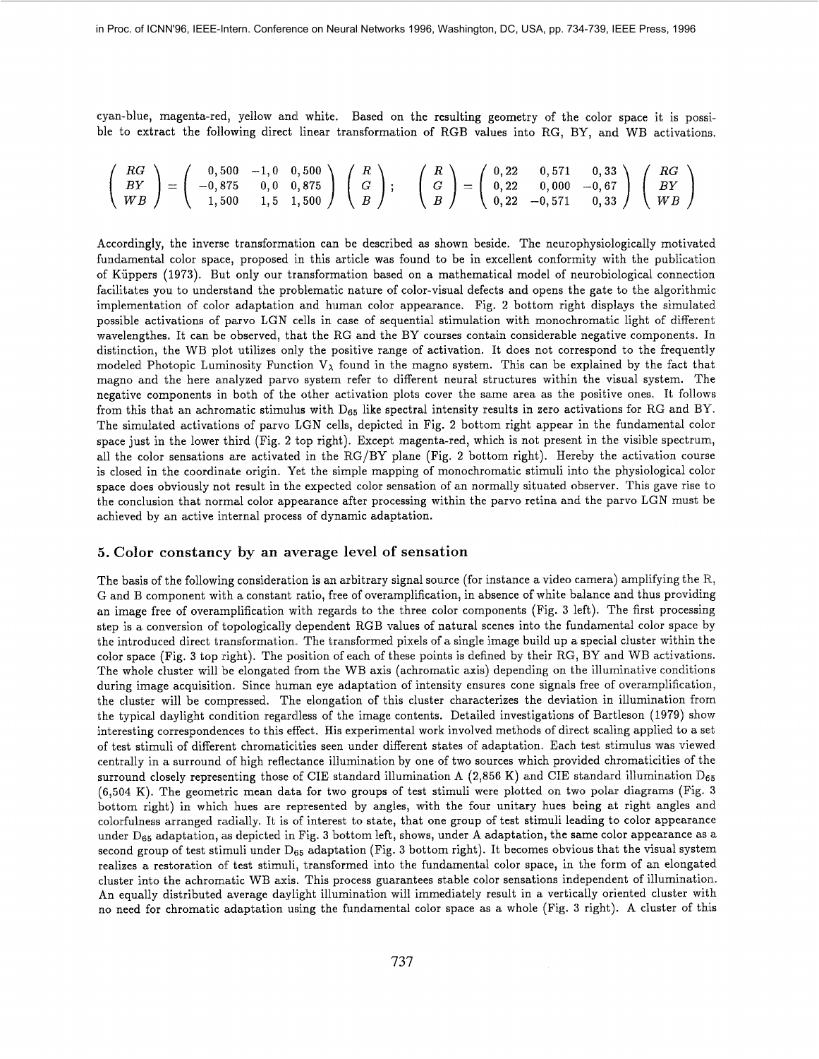cyan-blue, magenta-red, yellow and white. Based on the resulting geometry of the color space it is possible to extract the following direct linear transformation of RGB values into RG, BY, and WB activations.

$$
\left(\begin{array}{c} RG \\ BY \\ WB \end{array}\right) = \left(\begin{array}{ccc} 0,500 & -1,0 & 0,500 \\ -0,875 & 0,0 & 0,875 \\ 1,500 & 1,5 & 1,500 \end{array}\right) \left(\begin{array}{c} R \\ G \\ B \end{array}\right); \quad \left(\begin{array}{c} R \\ G \\ B \end{array}\right) = \left(\begin{array}{ccc} 0,22 & 0,571 & 0,33 \\ 0,22 & 0,000 & -0,67 \\ 0,22 & -0,571 & 0,33 \end{array}\right) \left(\begin{array}{c} RG \\ BY \\ WB \end{array}\right)
$$

Accordingly, the inverse transformation can be described as shown beside. The neurophysiologically motivated fundamental color space, proposed in this article was found to be in excellent conformity with the publication of Kiippers (1973). But only our transformation based on a mathematical model of neurobiological connection facilitates you to understand the problematic nature of color-visual defects and opens the gate to the algorithmic implementation of color adaptation and human color appearance. Fig. 2 bottom right displays the simulated possible activations of parvo LGN cells in case of sequential stimulation with monochromatic light of different wavelengthes. It can be observed, that the RG and the BY courses contain considerable negative components. In distinction, the WB plot utilizes only the positive range of activation. It does not correspond to the frequently modeled Photopic Luminosity Function  $V_{\lambda}$  found in the magno system. This can be explained by the fact that magno and the here analyzed parvo system refer to different neural structures vvithin the visual system. The negative components in both of the other activation plots cover the same area as the positive ones. It follows from this that an achromatic stimulus with  $D_{65}$  like spectral intensity results in zero activations for RG and BY. The simulated activations of parvo LGN cells, depicted in Fig. 2 bottom right appear in the fundamental color space just in the lower third (Fig. 2 top right). Except magenta-red, which is not present in the visible spectrum, all the color sensations are activated in the RG/BY plane (Fig. 2 bottom right). Hereby the activation course is closed in the coordinate origin. Yet the simple mapping of monochromatic stirrmli into the physiological color space does obviously not result in the expected color sensation of an normally situated observer. This gave rise to the conclusion that normal color appearance after processing within the parvo retina and the parvo LGN must be achieved by an active internal process of dynamic adaptation.

#### **5. Color constancy by an average level of sensation**

The basis of the following consideration is an arbitrary signal source (for instance a video camera) amplifying the  $R$ , G and B component with a constant ratio, free of overamplification, in absence of white balance and thus providing an image free of overamplification with regards to the three color components (Fig. 3 left). The first processing step is a conversion of topologically dependent RGB values of natural scenes into the fundamental color space by the introduced direct transformation. The transformed pixels of a single image build up a special cluster within the color space (Fig. 3 top right). The position of each of these points is defined by their RG, BY and WB activations. The whole cluster will be elongated from the WB axis (achromatic axis) depending, on the illuminative conditions during image acquisition. Since human eye adaptation of intensity ensures cone signals free of overamplification, the cluster will be compressed. The elongation of this cluster characterizes the deviation in illumination from the typical daylight condition regardless of the image contents. Detailed investigations of Bartleson (1979) show interesting correspondences to this effect. His experimental work involved methods of direct scaling applied to a set of test stimuli of different chromaticities seen under different states of adaptation. Each test stimulus was viewed centrally in a surround of high reflectance illumination by one of two sources which provided chromaticities of the surround closely representing those of CIE standard illumination A  $(2,856 \text{ K})$  and CIE standard illumination  $D_{65}$ (6,504 K). The geometric mean data for two groups of test stimuli were plotted on two polar diagrams (Fig. **3**  bottom right) in which hues are represented by angles, with the four unitary hues being at right angles and colorfulness arranged radially. It is of interest to state, that one group of test stimuli leading to color appearance under  $D_{65}$  adaptation, as depicted in Fig. 3 bottom left, shows, under A adaptation, the same color appearance as a second group of test stimuli under  $D_{65}$  adaptation (Fig. 3 bottom right). It becomes obvious that the visual system realizes a restoration of test stimuli, transformed into the fundamental color space, in the form of an elongated cluster into the achromatic WB axis. This process guarantees stable color sensations independent of illumination. An equally distributed average daylight illumination will immediately result in a vertically oriented cluster with no need for chromatic adaptation using the fundamental color space as a whole (Fig. 3 right). **A** cluster of this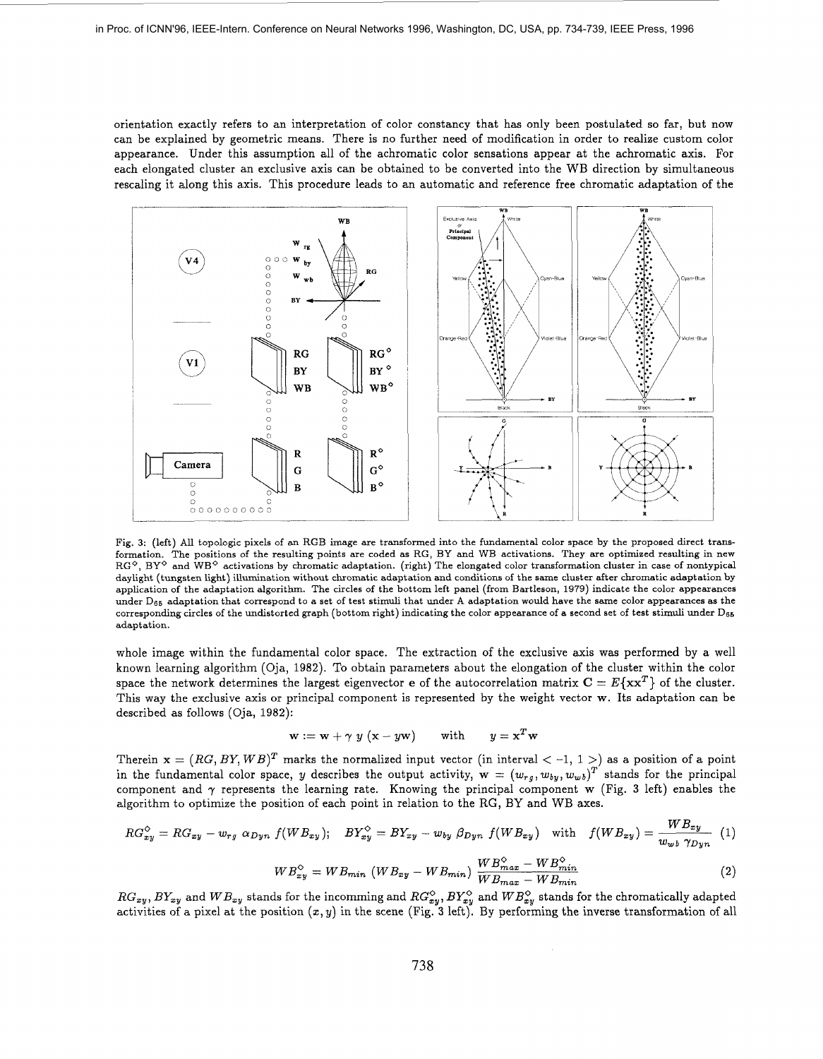orientation exactly refers to an interpretation of color constancy that has only been postulated *so* far, but now can be explained by geometric means. There **is** no further need of modification in order to realize custom color appearance. Under this assumption all of the achromatic color sensations appear at the achromatic axis. For each elongated cluster an exclusive axis can be obtained to be converted into the WB direction by simultaneous rescaling it along this axis. This procedure leads to an automatic and reference free chromatic adaptation of the



Fig. **3:** (left) All topologic pixels of an **RGB** image are transformed into the fundamental color space by the proposed direct transformation. The positions of the resulting points are coded as **RG, BY** and **WB** activations. They are optimized resulting in new **RGo, BYo** and WBo activations by chromatic adaptation. (right) The elongated color transformation cluster in case of nontypical daylight (tungsten light) illamination without chromatic adaptation and conditions of the same cluster after chromatic adaptation by application of the adaptation algorithm. The circles of the bottom left panel (from Bartleson, 1979) indicate the color appearances under De6 adaptation that correspond to a set of test stimuli that under **A** adaptation would have the same color appearances as the corresponding circles of the undistorted graph (bottom right) indicating the color appearance of **a** second set of test stimuli under **D66**  adaptation.

whole image within the fundamental color space. The extraction of the exclusive axis was performed by a well known learning algorithm (Oja, 1982). To obtain parameters about the elongation of the cluster within the color space the network determines the largest eigenvector *e* of the autocorrelation matrix  $C = E\{xx^T\}$  of the cluster. This way the exclusive axis or principal component is represented by the weight vector w. Its adaptation can be described as follows (Oja, 1982):

$$
\mathbf{w} := \mathbf{w} + \gamma \, y \, (\mathbf{x} - y\mathbf{w}) \qquad \text{with} \qquad y = \mathbf{x}^T \mathbf{w}
$$

Therein  $\mathbf{x} = (RG, BY, WB)^T$  marks the normalized input vector (in interval  $<-1, 1>)$  as a position of a point in the fundamental color space, y describes the output activity,  $\mathbf{w} = (w_{rg}, w_{by}, w_{wb})^T$  stands for the principal component and  $\gamma$  represents the learning rate. Knowing the principal component w (Fig. 3 left) enables the algorithm to optimize the position of each point in relation to the RG, BY and WB axes.

$$
RG_{xy}^{\lozenge} = RG_{xy} - w_{rg} \alpha_{Dyn} f(WB_{xy}); \quad BY_{xy}^{\lozenge} = BY_{xy} - w_{by} \beta_{Dyn} f(WB_{xy}) \quad \text{with} \quad f(WB_{xy}) = \frac{WB_{xy}}{w_{wb} \gamma_{Dyn}} \quad (1)
$$

$$
WB_{xy}^{\diamond} = WB_{min} \ (WB_{xy} - WB_{min}) \ \frac{WB_{max}^{\diamond} - WB_{min}^{\diamond}}{WB_{max} - WB_{min}} \tag{2}
$$

 $RG_{xy}, BY_{xy}$  and  $WB_{xy}$  stands for the incomming and  $RG_{xy}^{\diamond}, BY_{xy}^{\diamond}$  and  $WB_{xy}^{\diamond}$  stands for the chromatically adapted activities of a pixel at the position *(2,* y) in the scene (Fig. **3** left). By performing the inverse transformation of all